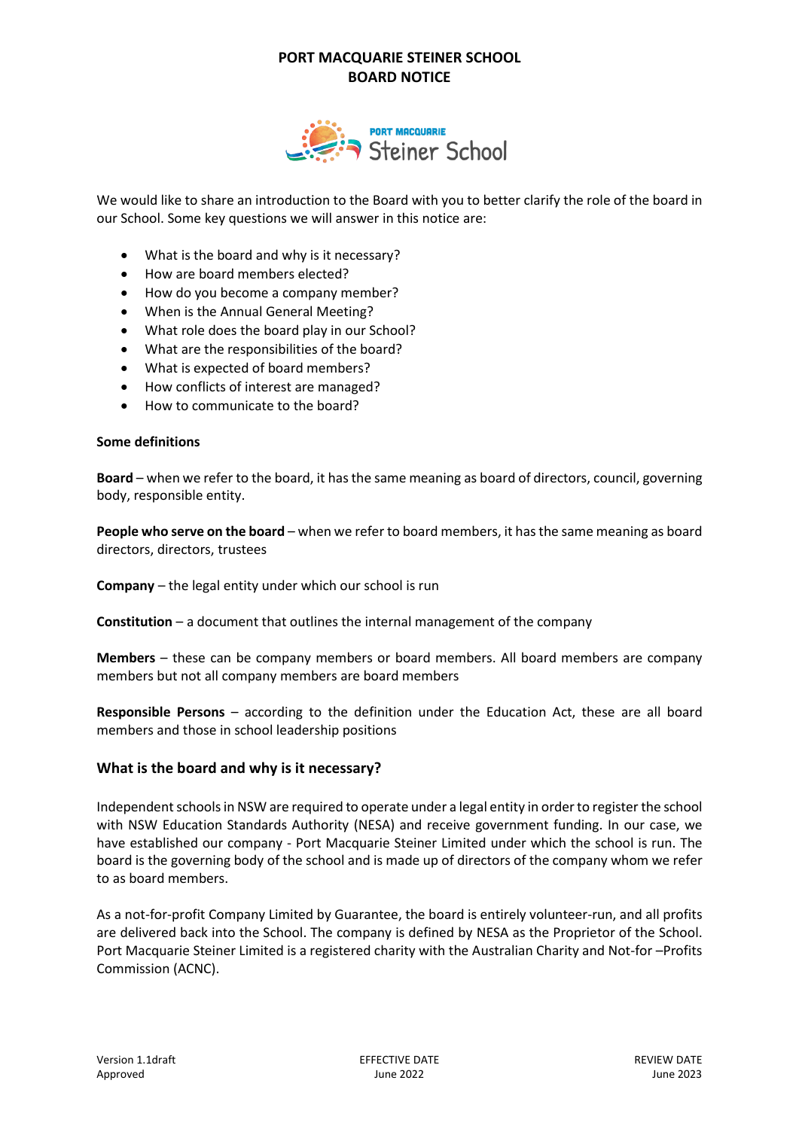

We would like to share an introduction to the Board with you to better clarify the role of the board in our School. Some key questions we will answer in this notice are:

- What is the board and why is it necessary?
- How are board members elected?
- How do you become a company member?
- When is the Annual General Meeting?
- What role does the board play in our School?
- What are the responsibilities of the board?
- What is expected of board members?
- How conflicts of interest are managed?
- How to communicate to the board?

#### **Some definitions**

**Board** – when we refer to the board, it hasthe same meaning as board of directors, council, governing body, responsible entity.

**People who serve on the board** – when we refer to board members, it hasthe same meaning as board directors, directors, trustees

**Company** – the legal entity under which our school is run

**Constitution** – a document that outlines the internal management of the company

**Members** – these can be company members or board members. All board members are company members but not all company members are board members

**Responsible Persons** – according to the definition under the Education Act, these are all board members and those in school leadership positions

### **What is the board and why is it necessary?**

Independent schools in NSW are required to operate under a legal entity in order to register the school with NSW Education Standards Authority (NESA) and receive government funding. In our case, we have established our company - Port Macquarie Steiner Limited under which the school is run. The board is the governing body of the school and is made up of directors of the company whom we refer to as board members.

As a not-for-profit Company Limited by Guarantee, the board is entirely volunteer-run, and all profits are delivered back into the School. The company is defined by NESA as the Proprietor of the School. Port Macquarie Steiner Limited is a registered charity with the Australian Charity and Not-for –Profits Commission (ACNC).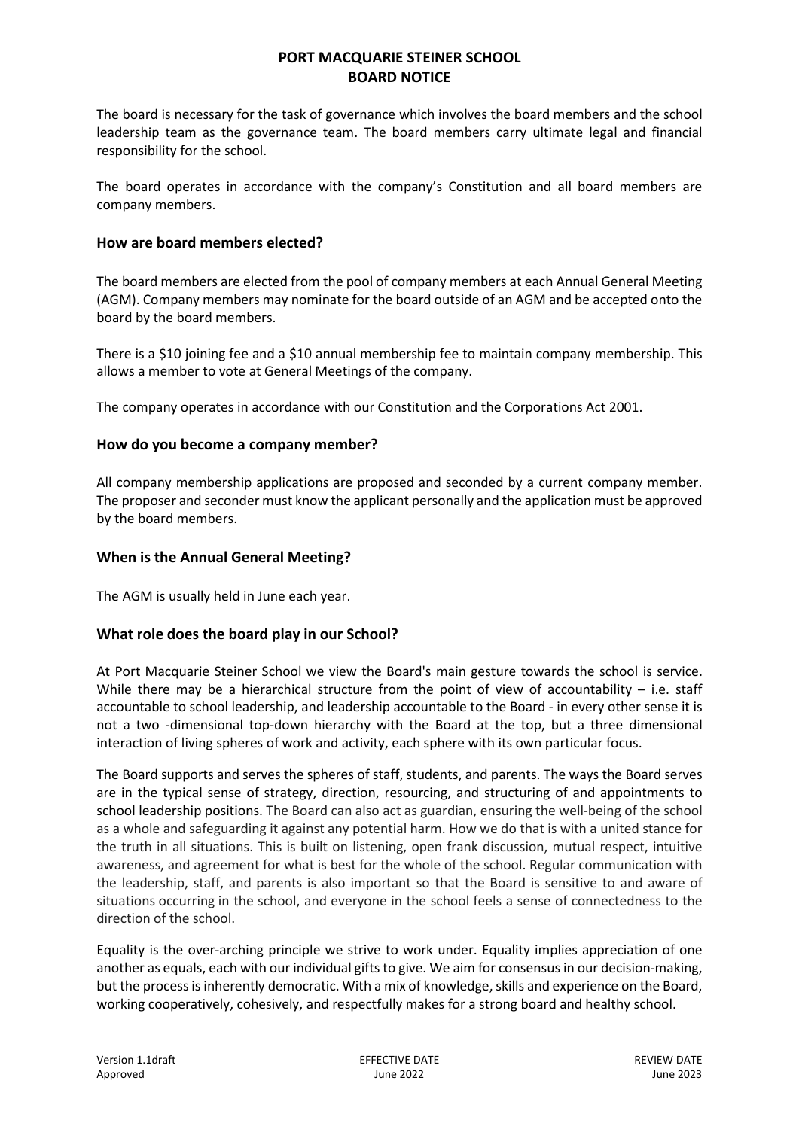The board is necessary for the task of governance which involves the board members and the school leadership team as the governance team. The board members carry ultimate legal and financial responsibility for the school.

The board operates in accordance with the company's Constitution and all board members are company members.

## **How are board members elected?**

The board members are elected from the pool of company members at each Annual General Meeting (AGM). Company members may nominate for the board outside of an AGM and be accepted onto the board by the board members.

There is a \$10 joining fee and a \$10 annual membership fee to maintain company membership. This allows a member to vote at General Meetings of the company.

The company operates in accordance with our Constitution and the Corporations Act 2001.

## **How do you become a company member?**

All company membership applications are proposed and seconded by a current company member. The proposer and seconder must know the applicant personally and the application must be approved by the board members.

## **When is the Annual General Meeting?**

The AGM is usually held in June each year.

## **What role does the board play in our School?**

At Port Macquarie Steiner School we view the Board's main gesture towards the school is service. While there may be a hierarchical structure from the point of view of accountability  $-$  i.e. staff accountable to school leadership, and leadership accountable to the Board - in every other sense it is not a two -dimensional top-down hierarchy with the Board at the top, but a three dimensional interaction of living spheres of work and activity, each sphere with its own particular focus.

The Board supports and serves the spheres of staff, students, and parents. The ways the Board serves are in the typical sense of strategy, direction, resourcing, and structuring of and appointments to school leadership positions. The Board can also act as guardian, ensuring the well-being of the school as a whole and safeguarding it against any potential harm. How we do that is with a united stance for the truth in all situations. This is built on listening, open frank discussion, mutual respect, intuitive awareness, and agreement for what is best for the whole of the school. Regular communication with the leadership, staff, and parents is also important so that the Board is sensitive to and aware of situations occurring in the school, and everyone in the school feels a sense of connectedness to the direction of the school.

Equality is the over-arching principle we strive to work under. Equality implies appreciation of one another as equals, each with our individual gifts to give. We aim for consensus in our decision-making, but the process is inherently democratic. With a mix of knowledge, skills and experience on the Board, working cooperatively, cohesively, and respectfully makes for a strong board and healthy school.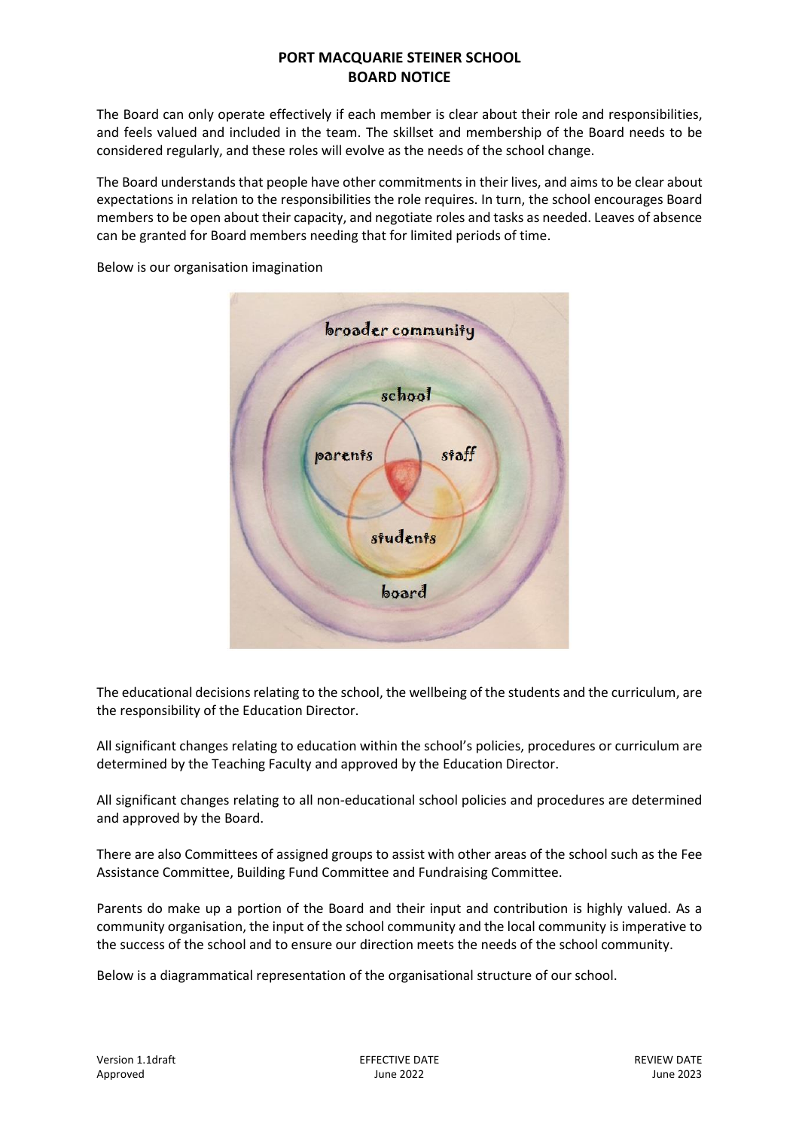The Board can only operate effectively if each member is clear about their role and responsibilities, and feels valued and included in the team. The skillset and membership of the Board needs to be considered regularly, and these roles will evolve as the needs of the school change.

The Board understands that people have other commitments in their lives, and aims to be clear about expectations in relation to the responsibilities the role requires. In turn, the school encourages Board members to be open about their capacity, and negotiate roles and tasks as needed. Leaves of absence can be granted for Board members needing that for limited periods of time.

> broader community school staff parents students board

Below is our organisation imagination

The educational decisions relating to the school, the wellbeing of the students and the curriculum, are the responsibility of the Education Director.

All significant changes relating to education within the school's policies, procedures or curriculum are determined by the Teaching Faculty and approved by the Education Director.

All significant changes relating to all non-educational school policies and procedures are determined and approved by the Board.

There are also Committees of assigned groups to assist with other areas of the school such as the Fee Assistance Committee, Building Fund Committee and Fundraising Committee.

Parents do make up a portion of the Board and their input and contribution is highly valued. As a community organisation, the input of the school community and the local community is imperative to the success of the school and to ensure our direction meets the needs of the school community.

Below is a diagrammatical representation of the organisational structure of our school.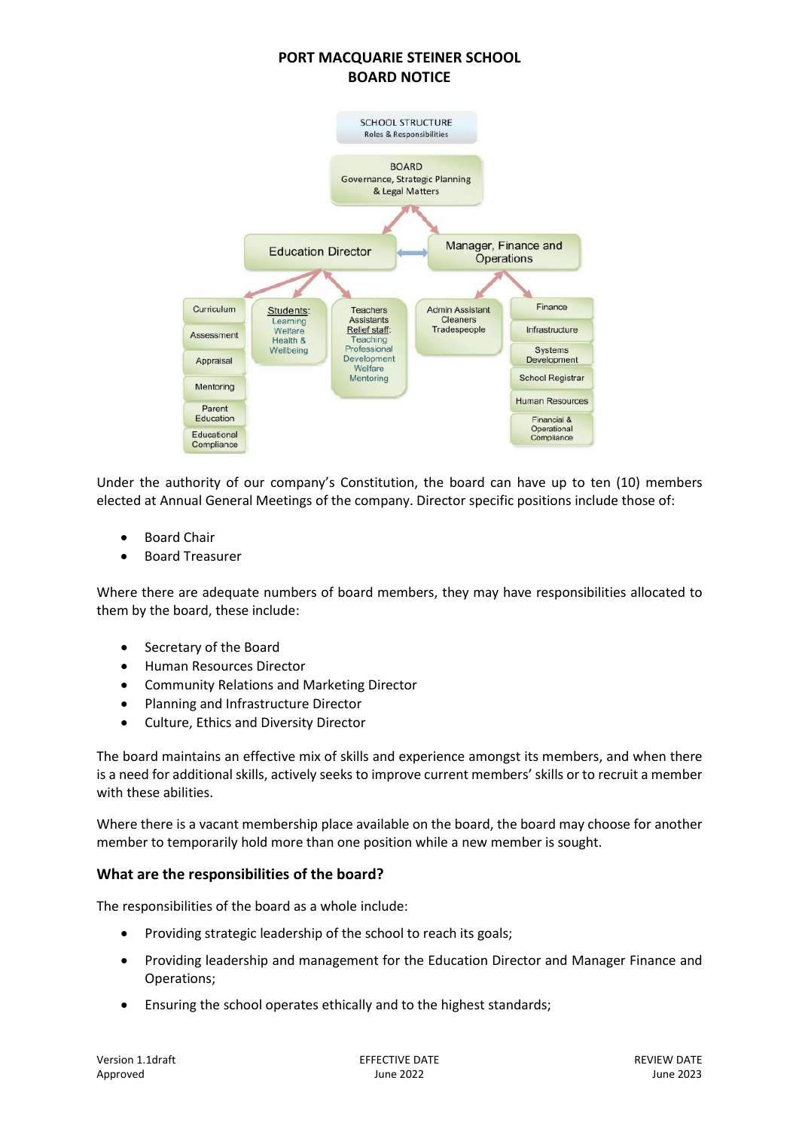

Under the authority of our company's Constitution, the board can have up to ten (10) members elected at Annual General Meetings of the company. Director specific positions include those of:

- Board Chair
- Board Treasurer

Where there are adequate numbers of board members, they may have responsibilities allocated to them by the board, these include:

- Secretary of the Board
- Human Resources Director
- Community Relations and Marketing Director
- Planning and Infrastructure Director
- Culture, Ethics and Diversity Director

The board maintains an effective mix of skills and experience amongst its members, and when there is a need for additional skills, actively seeks to improve current members' skills or to recruit a member with these abilities.

Where there is a vacant membership place available on the board, the board may choose for another member to temporarily hold more than one position while a new member is sought.

### **What are the responsibilities of the board?**

The responsibilities of the board as a whole include:

- Providing strategic leadership of the school to reach its goals;
- Providing leadership and management for the Education Director and Manager Finance and Operations;
- Ensuring the school operates ethically and to the highest standards;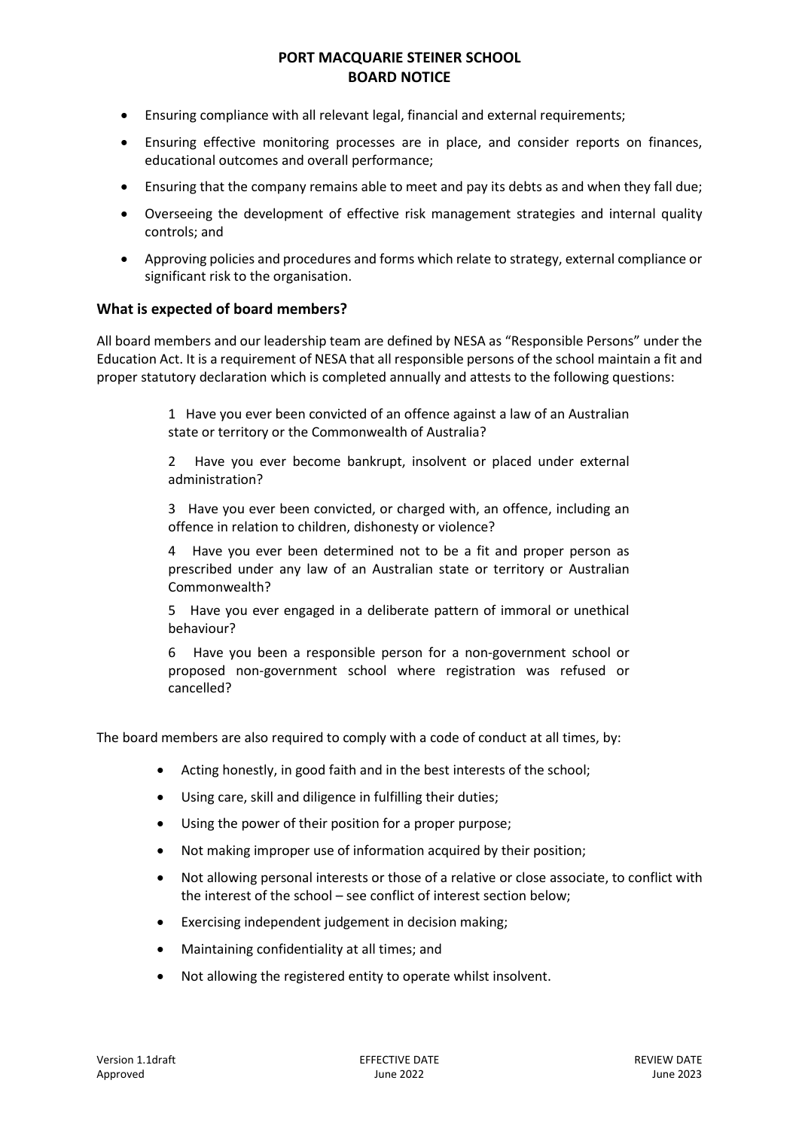- Ensuring compliance with all relevant legal, financial and external requirements;
- Ensuring effective monitoring processes are in place, and consider reports on finances, educational outcomes and overall performance;
- Ensuring that the company remains able to meet and pay its debts as and when they fall due;
- Overseeing the development of effective risk management strategies and internal quality controls; and
- Approving policies and procedures and forms which relate to strategy, external compliance or significant risk to the organisation.

### **What is expected of board members?**

All board members and our leadership team are defined by NESA as "Responsible Persons" under the Education Act. It is a requirement of NESA that all responsible persons of the school maintain a fit and proper statutory declaration which is completed annually and attests to the following questions:

> 1 Have you ever been convicted of an offence against a law of an Australian state or territory or the Commonwealth of Australia?

> 2 Have you ever become bankrupt, insolvent or placed under external administration?

> 3 Have you ever been convicted, or charged with, an offence, including an offence in relation to children, dishonesty or violence?

> 4 Have you ever been determined not to be a fit and proper person as prescribed under any law of an Australian state or territory or Australian Commonwealth?

> 5 Have you ever engaged in a deliberate pattern of immoral or unethical behaviour?

> 6 Have you been a responsible person for a non-government school or proposed non-government school where registration was refused or cancelled?

The board members are also required to comply with a code of conduct at all times, by:

- Acting honestly, in good faith and in the best interests of the school;
- Using care, skill and diligence in fulfilling their duties;
- Using the power of their position for a proper purpose;
- Not making improper use of information acquired by their position;
- Not allowing personal interests or those of a relative or close associate, to conflict with the interest of the school – see conflict of interest section below;
- Exercising independent judgement in decision making:
- Maintaining confidentiality at all times; and
- Not allowing the registered entity to operate whilst insolvent.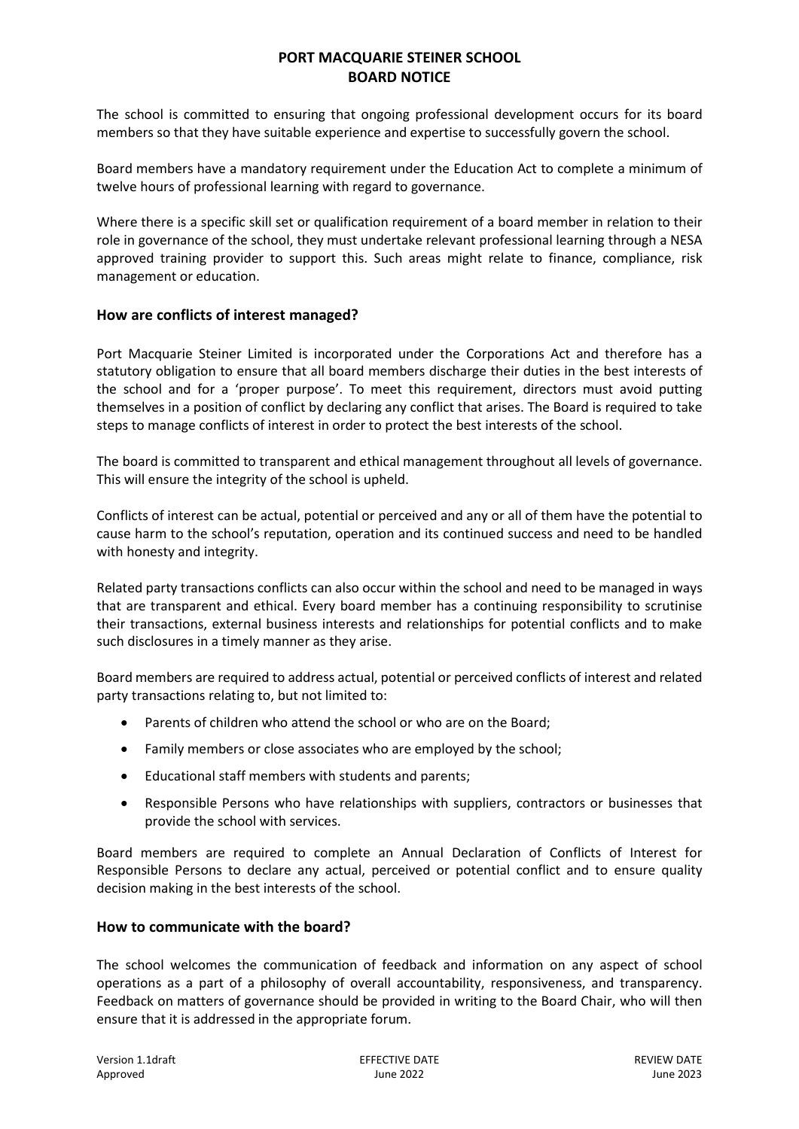The school is committed to ensuring that ongoing professional development occurs for its board members so that they have suitable experience and expertise to successfully govern the school.

Board members have a mandatory requirement under the Education Act to complete a minimum of twelve hours of professional learning with regard to governance.

Where there is a specific skill set or qualification requirement of a board member in relation to their role in governance of the school, they must undertake relevant professional learning through a NESA approved training provider to support this. Such areas might relate to finance, compliance, risk management or education.

## **How are conflicts of interest managed?**

Port Macquarie Steiner Limited is incorporated under the Corporations Act and therefore has a statutory obligation to ensure that all board members discharge their duties in the best interests of the school and for a 'proper purpose'. To meet this requirement, directors must avoid putting themselves in a position of conflict by declaring any conflict that arises. The Board is required to take steps to manage conflicts of interest in order to protect the best interests of the school.

The board is committed to transparent and ethical management throughout all levels of governance. This will ensure the integrity of the school is upheld.

Conflicts of interest can be actual, potential or perceived and any or all of them have the potential to cause harm to the school's reputation, operation and its continued success and need to be handled with honesty and integrity.

Related party transactions conflicts can also occur within the school and need to be managed in ways that are transparent and ethical. Every board member has a continuing responsibility to scrutinise their transactions, external business interests and relationships for potential conflicts and to make such disclosures in a timely manner as they arise.

Board members are required to address actual, potential or perceived conflicts of interest and related party transactions relating to, but not limited to:

- Parents of children who attend the school or who are on the Board;
- Family members or close associates who are employed by the school;
- Educational staff members with students and parents;
- Responsible Persons who have relationships with suppliers, contractors or businesses that provide the school with services.

Board members are required to complete an Annual Declaration of Conflicts of Interest for Responsible Persons to declare any actual, perceived or potential conflict and to ensure quality decision making in the best interests of the school.

### **How to communicate with the board?**

The school welcomes the communication of feedback and information on any aspect of school operations as a part of a philosophy of overall accountability, responsiveness, and transparency. Feedback on matters of governance should be provided in writing to the Board Chair, who will then ensure that it is addressed in the appropriate forum.